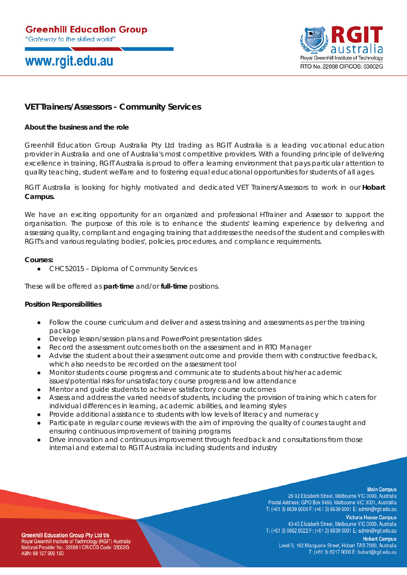## www.rgit.edu.au



## **VET Trainers/Assessors - Community Services**

### **About the business and the role**

Greenhill Education Group Australia Pty Ltd trading as RGIT Australia is a leading vocational education provider in Australia and one of Australia's most competitive providers. With a founding principle of delivering excellence in training, RGIT Australia is proud to offer a learning environment that pays particular attention to quality teaching, student welfare and to fostering equal educational opportunities for students of all ages.

RGIT Australia is looking for highly motivated and dedicated VET Trainers/Assessors to work in our **Hobart Campus.**

We have an exciting opportunity for an organized and professional HTrainer and Assessor to support the organisation. The purpose of this role is to enhance the students' learning experience by delivering and assessing quality, compliant and engaging training that addresses the needs of the student and complies with RGIT's and various regulating bodies', policies, procedures, and compliance requirements.

#### **Courses:**

● CHC52015 – Diploma of Community Services

These will be offered as **part-time** and/or **full-time** positions.

#### **Position Responsibilities**

- Follow the course curriculum and deliver and assess training and assessments as per the training package
- Develop lesson/session plans and PowerPoint presentation slides
- Record the assessment outcomes both on the assessment and in RTO Manager
- Advise the student about their assessment outcome and provide them with constructive feedback, which also needs to be recorded on the assessment tool
- Monitor students course progress and communicate to students about his/her academic issues/potential risks for unsatisfactory course progress and low attendance
- Mentor and guide students to achieve satisfactory course outcomes
- Assess and address the varied needs of students, including the provision of training which caters for individual differences in learning, academic abilities, and learning styles
- Provide additional assistance to students with low levels of literacy and numeracy
- Participate in regular course reviews with the aim of improving the quality of courses taught and ensuring continuous improvement of training programs
- Drive innovation and continuous improvement through feedback and consultations from those internal and external to RGIT Australia including students and industry

#### **Main Campus**

28-32 Elizabeth Street, Melbourne VIC 3000, Australia Postal Address: GPO Box 5466, Melbourne VIC 3001, Australlia T: (+61 3) 8639 9000 F: (+61 3) 8639 9001 E: admin@rgit.edu.au

**Victoria House Campus** 43-45 Elizabeth Street, Melbourne VIC 3000, Australia T: (+61 3) 9662 8022 F: (+61 3) 8639 9001 E: admin@rgit.edu.au

**Greenhill Education Group Pty Ltd t/a** Royal Greenhill Institute of Technology (RGIT) Australia National Provider No.: 22088 I CRICOS Code: 03002G ABN: 68 127 999 160

**Hobart Campus** Level 3, 162 Macquarie Street, Hobart TAS 7000, Australia T: (+61 3) 6217 9000 E: hobart@rgit.edu.au